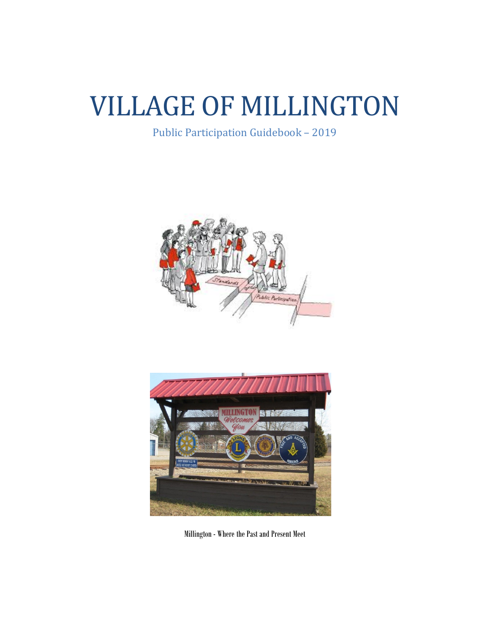# VILLAGE OF MILLINGTON

Public Participation Guidebook – 2019





Millington - Where the Past and Present Meet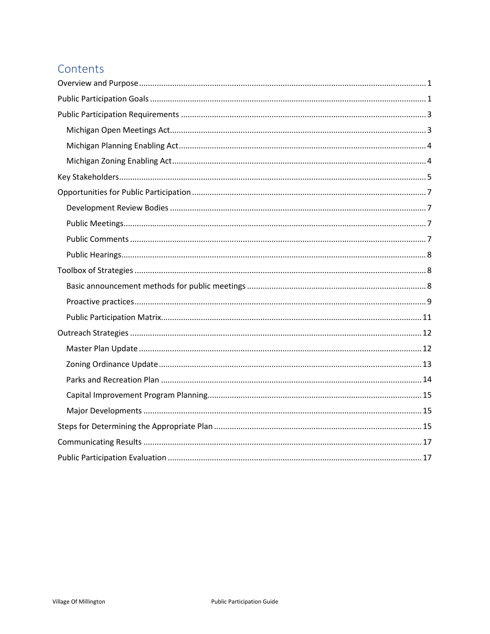# Contents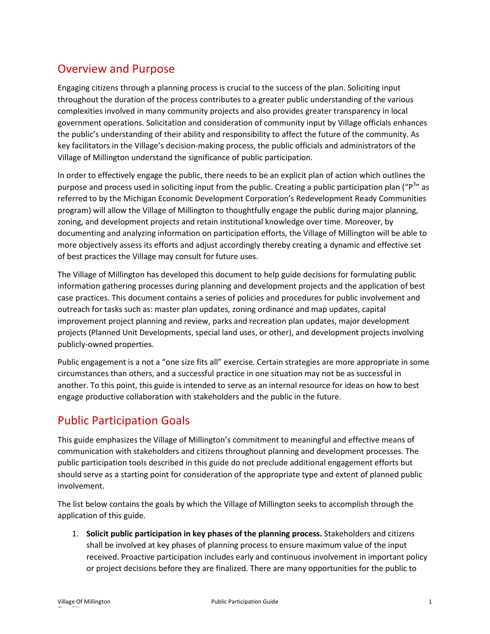# <span id="page-2-0"></span>Overview and Purpose

Engaging citizens through a planning process is crucial to the success of the plan. Soliciting input throughout the duration of the process contributes to a greater public understanding of the various complexities involved in many community projects and also provides greater transparency in local government operations. Solicitation and consideration of community input by Village officials enhances the public's understanding of their ability and responsibility to affect the future of the community. As key facilitators in the Village's decision-making process, the public officials and administrators of the Village of Millington understand the significance of public participation.

In order to effectively engage the public, there needs to be an explicit plan of action which outlines the purpose and process used in soliciting input from the public. Creating a public participation plan ("P<sup>3</sup>" as referred to by the Michigan Economic Development Corporation's Redevelopment Ready Communities program) will allow the Village of Millington to thoughtfully engage the public during major planning, zoning, and development projects and retain institutional knowledge over time. Moreover, by documenting and analyzing information on participation efforts, the Village of Millington will be able to more objectively assess its efforts and adjust accordingly thereby creating a dynamic and effective set of best practices the Village may consult for future uses.

The Village of Millington has developed this document to help guide decisions for formulating public information gathering processes during planning and development projects and the application of best case practices. This document contains a series of policies and procedures for public involvement and outreach for tasks such as: master plan updates, zoning ordinance and map updates, capital improvement project planning and review, parks and recreation plan updates, major development projects (Planned Unit Developments, special land uses, or other), and development projects involving publicly-owned properties.

Public engagement is a not a "one size fits all" exercise. Certain strategies are more appropriate in some circumstances than others, and a successful practice in one situation may not be as successful in another. To this point, this guide is intended to serve as an internal resource for ideas on how to best engage productive collaboration with stakeholders and the public in the future.

## <span id="page-2-1"></span>Public Participation Goals

This guide emphasizes the Village of Millington's commitment to meaningful and effective means of communication with stakeholders and citizens throughout planning and development processes. The public participation tools described in this guide do not preclude additional engagement efforts but should serve as a starting point for consideration of the appropriate type and extent of planned public involvement.

The list below contains the goals by which the Village of Millington seeks to accomplish through the application of this guide.

1. **Solicit public participation in key phases of the planning process.** Stakeholders and citizens shall be involved at key phases of planning process to ensure maximum value of the input received. Proactive participation includes early and continuous involvement in important policy or project decisions before they are finalized. There are many opportunities for the public to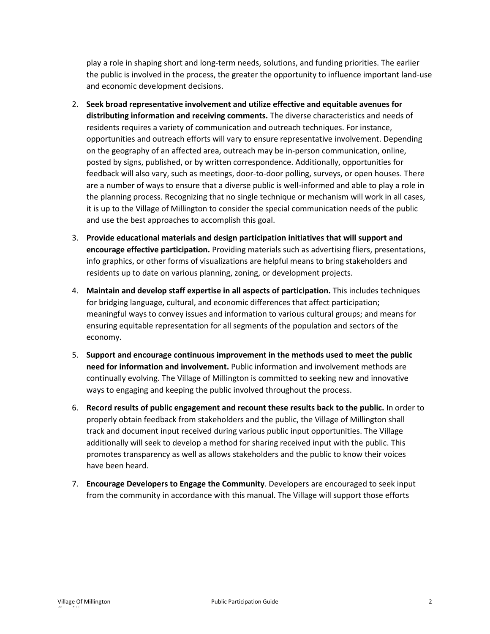play a role in shaping short and long-term needs, solutions, and funding priorities. The earlier the public is involved in the process, the greater the opportunity to influence important land-use and economic development decisions.

- 2. **Seek broad representative involvement and utilize effective and equitable avenues for distributing information and receiving comments.** The diverse characteristics and needs of residents requires a variety of communication and outreach techniques. For instance, opportunities and outreach efforts will vary to ensure representative involvement. Depending on the geography of an affected area, outreach may be in-person communication, online, posted by signs, published, or by written correspondence. Additionally, opportunities for feedback will also vary, such as meetings, door-to-door polling, surveys, or open houses. There are a number of ways to ensure that a diverse public is well-informed and able to play a role in the planning process. Recognizing that no single technique or mechanism will work in all cases, it is up to the Village of Millington to consider the special communication needs of the public and use the best approaches to accomplish this goal.
- 3. **Provide educational materials and design participation initiatives that will support and encourage effective participation.** Providing materials such as advertising fliers, presentations, info graphics, or other forms of visualizations are helpful means to bring stakeholders and residents up to date on various planning, zoning, or development projects.
- 4. **Maintain and develop staff expertise in all aspects of participation.** This includes techniques for bridging language, cultural, and economic differences that affect participation; meaningful ways to convey issues and information to various cultural groups; and means for ensuring equitable representation for all segments of the population and sectors of the economy.
- 5. **Support and encourage continuous improvement in the methods used to meet the public need for information and involvement.** Public information and involvement methods are continually evolving. The Village of Millington is committed to seeking new and innovative ways to engaging and keeping the public involved throughout the process.
- 6. **Record results of public engagement and recount these results back to the public.** In order to properly obtain feedback from stakeholders and the public, the Village of Millington shall track and document input received during various public input opportunities. The Village additionally will seek to develop a method for sharing received input with the public. This promotes transparency as well as allows stakeholders and the public to know their voices have been heard.
- 7. **Encourage Developers to Engage the Community**. Developers are encouraged to seek input from the community in accordance with this manual. The Village will support those efforts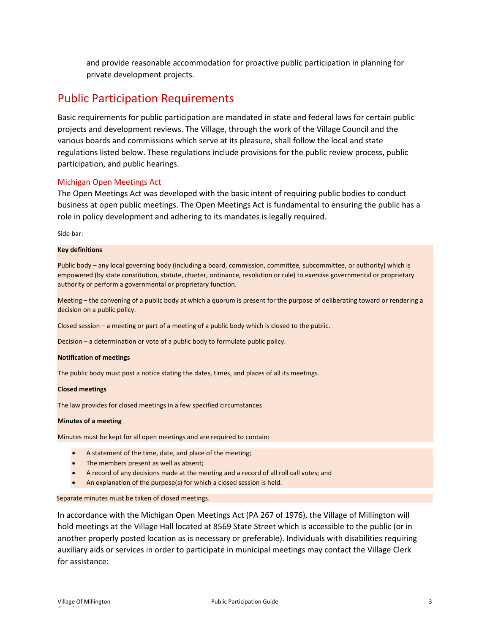and provide reasonable accommodation for proactive public participation in planning for private development projects.

### <span id="page-4-0"></span>Public Participation Requirements

Basic requirements for public participation are mandated in state and federal laws for certain public projects and development reviews. The Village, through the work of the Village Council and the various boards and commissions which serve at its pleasure, shall follow the local and state regulations listed below. These regulations include provisions for the public review process, public participation, and public hearings.

#### <span id="page-4-1"></span>Michigan Open Meetings Act

The Open Meetings Act was developed with the basic intent of requiring public bodies to conduct business at open public meetings. The Open Meetings Act is fundamental to ensuring the public has a role in policy development and adhering to its mandates is legally required.

Side bar:

#### **Key definitions**

Public body – any local governing body (including a board, commission, committee, subcommittee, or authority) which is empowered (by state constitution, statute, charter, ordinance, resolution or rule) to exercise governmental or proprietary authority or perform a governmental or proprietary function.

Meeting **–** the convening of a public body at which a quorum is present for the purpose of deliberating toward or rendering a decision on a public policy.

Closed session – a meeting or part of a meeting of a public body which is closed to the public.

Decision – a determination or vote of a public body to formulate public policy.

#### **Notification of meetings**

The public body must post a notice stating the dates, times, and places of all its meetings.

#### **Closed meetings**

The law provides for closed meetings in a few specified circumstances

#### **Minutes of a meeting**

Minutes must be kept for all open meetings and are required to contain:

- A statement of the time, date, and place of the meeting;
- The members present as well as absent;
- A record of any decisions made at the meeting and a record of all roll call votes; and
- An explanation of the purpose(s) for which a closed session is held.

#### Separate minutes must be taken of closed meetings.

In accordance with the Michigan Open Meetings Act (PA 267 of 1976), the Village of Millington will hold meetings at the Village Hall located at 8569 State Street which is accessible to the public (or in another properly posted location as is necessary or preferable). Individuals with disabilities requiring auxiliary aids or services in order to participate in municipal meetings may contact the Village Clerk for assistance: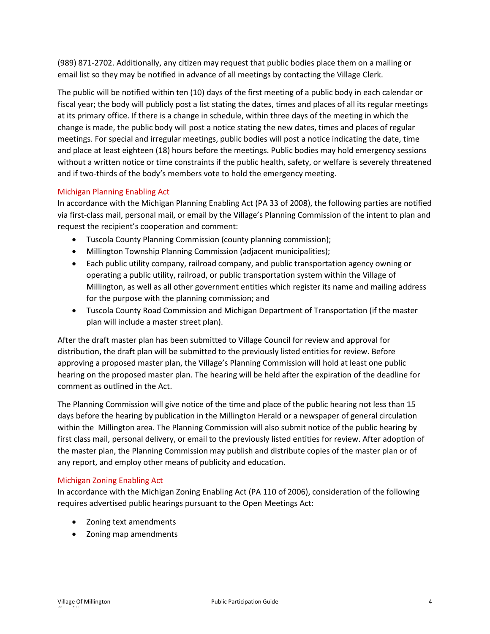(989) 871-2702. Additionally, any citizen may request that public bodies place them on a mailing or email list so they may be notified in advance of all meetings by contacting the Village Clerk.

The public will be notified within ten (10) days of the first meeting of a public body in each calendar or fiscal year; the body will publicly post a list stating the dates, times and places of all its regular meetings at its primary office. If there is a change in schedule, within three days of the meeting in which the change is made, the public body will post a notice stating the new dates, times and places of regular meetings. For special and irregular meetings, public bodies will post a notice indicating the date, time and place at least eighteen (18) hours before the meetings. Public bodies may hold emergency sessions without a written notice or time constraints if the public health, safety, or welfare is severely threatened and if two-thirds of the body's members vote to hold the emergency meeting.

### <span id="page-5-0"></span>Michigan Planning Enabling Act

In accordance with the Michigan Planning Enabling Act (PA 33 of 2008), the following parties are notified via first-class mail, personal mail, or email by the Village's Planning Commission of the intent to plan and request the recipient's cooperation and comment:

- Tuscola County Planning Commission (county planning commission);
- Millington Township Planning Commission (adjacent municipalities);
- Each public utility company, railroad company, and public transportation agency owning or operating a public utility, railroad, or public transportation system within the Village of Millington, as well as all other government entities which register its name and mailing address for the purpose with the planning commission; and
- Tuscola County Road Commission and Michigan Department of Transportation (if the master plan will include a master street plan).

After the draft master plan has been submitted to Village Council for review and approval for distribution, the draft plan will be submitted to the previously listed entities for review. Before approving a proposed master plan, the Village's Planning Commission will hold at least one public hearing on the proposed master plan. The hearing will be held after the expiration of the deadline for comment as outlined in the Act.

The Planning Commission will give notice of the time and place of the public hearing not less than 15 days before the hearing by publication in the Millington Herald or a newspaper of general circulation within the Millington area. The Planning Commission will also submit notice of the public hearing by first class mail, personal delivery, or email to the previously listed entities for review. After adoption of the master plan, the Planning Commission may publish and distribute copies of the master plan or of any report, and employ other means of publicity and education.

#### <span id="page-5-1"></span>Michigan Zoning Enabling Act

In accordance with the Michigan Zoning Enabling Act (PA 110 of 2006), consideration of the following requires advertised public hearings pursuant to the Open Meetings Act:

- Zoning text amendments
- Zoning map amendments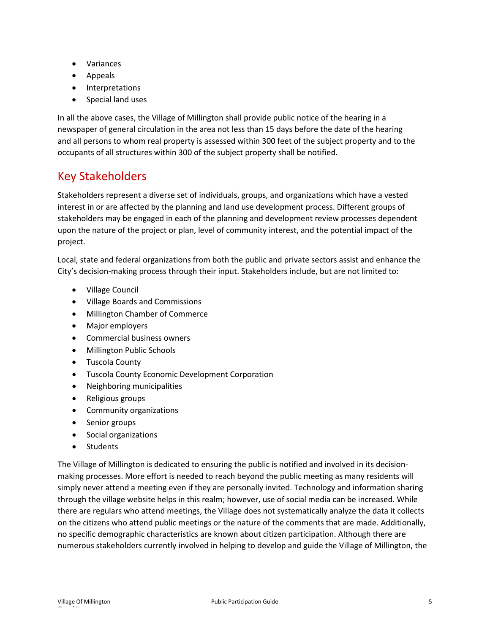- Variances
- Appeals
- Interpretations
- Special land uses

In all the above cases, the Village of Millington shall provide public notice of the hearing in a newspaper of general circulation in the area not less than 15 days before the date of the hearing and all persons to whom real property is assessed within 300 feet of the subject property and to the occupants of all structures within 300 of the subject property shall be notified.

## <span id="page-6-0"></span>Key Stakeholders

Stakeholders represent a diverse set of individuals, groups, and organizations which have a vested interest in or are affected by the planning and land use development process. Different groups of stakeholders may be engaged in each of the planning and development review processes dependent upon the nature of the project or plan, level of community interest, and the potential impact of the project.

Local, state and federal organizations from both the public and private sectors assist and enhance the City's decision-making process through their input. Stakeholders include, but are not limited to:

- Village Council
- Village Boards and Commissions
- Millington Chamber of Commerce
- Major employers
- Commercial business owners
- Millington Public Schools
- Tuscola County
- Tuscola County Economic Development Corporation
- Neighboring municipalities
- Religious groups
- Community organizations
- Senior groups
- Social organizations
- Students

The Village of Millington is dedicated to ensuring the public is notified and involved in its decisionmaking processes. More effort is needed to reach beyond the public meeting as many residents will simply never attend a meeting even if they are personally invited. Technology and information sharing through the village website helps in this realm; however, use of social media can be increased. While there are regulars who attend meetings, the Village does not systematically analyze the data it collects on the citizens who attend public meetings or the nature of the comments that are made. Additionally, no specific demographic characteristics are known about citizen participation. Although there are numerous stakeholders currently involved in helping to develop and guide the Village of Millington, the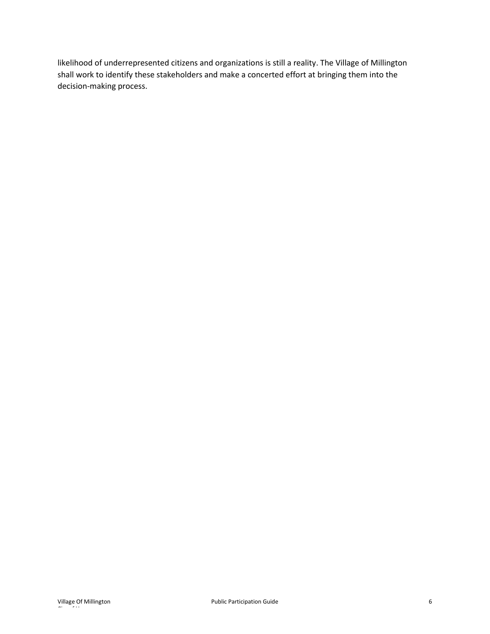likelihood of underrepresented citizens and organizations is still a reality. The Village of Millington shall work to identify these stakeholders and make a concerted effort at bringing them into the decision-making process.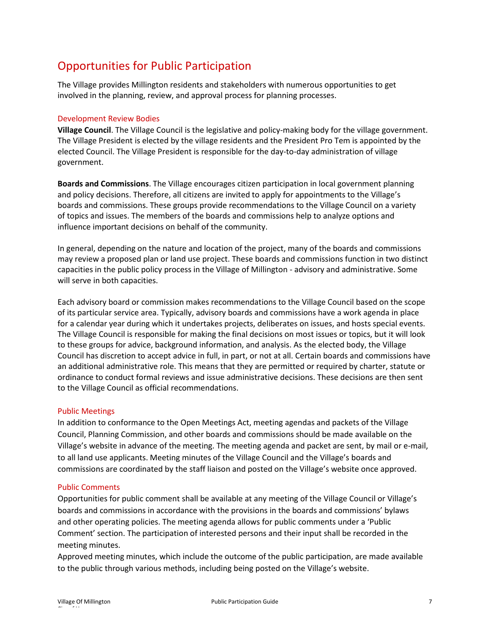# <span id="page-8-0"></span>Opportunities for Public Participation

The Village provides Millington residents and stakeholders with numerous opportunities to get involved in the planning, review, and approval process for planning processes.

### <span id="page-8-1"></span>Development Review Bodies

**Village Council**. The Village Council is the legislative and policy-making body for the village government. The Village President is elected by the village residents and the President Pro Tem is appointed by the elected Council. The Village President is responsible for the day-to-day administration of village government.

**Boards and Commissions**. The Village encourages citizen participation in local government planning and policy decisions. Therefore, all citizens are invited to apply for appointments to the Village's boards and commissions. These groups provide recommendations to the Village Council on a variety of topics and issues. The members of the boards and commissions help to analyze options and influence important decisions on behalf of the community.

In general, depending on the nature and location of the project, many of the boards and commissions may review a proposed plan or land use project. These boards and commissions function in two distinct capacities in the public policy process in the Village of Millington - advisory and administrative. Some will serve in both capacities.

Each advisory board or commission makes recommendations to the Village Council based on the scope of its particular service area. Typically, advisory boards and commissions have a work agenda in place for a calendar year during which it undertakes projects, deliberates on issues, and hosts special events. The Village Council is responsible for making the final decisions on most issues or topics, but it will look to these groups for advice, background information, and analysis. As the elected body, the Village Council has discretion to accept advice in full, in part, or not at all. Certain boards and commissions have an additional administrative role. This means that they are permitted or required by charter, statute or ordinance to conduct formal reviews and issue administrative decisions. These decisions are then sent to the Village Council as official recommendations.

### <span id="page-8-2"></span>Public Meetings

In addition to conformance to the Open Meetings Act, meeting agendas and packets of the Village Council, Planning Commission, and other boards and commissions should be made available on the Village's website in advance of the meeting. The meeting agenda and packet are sent, by mail or e-mail, to all land use applicants. Meeting minutes of the Village Council and the Village's boards and commissions are coordinated by the staff liaison and posted on the Village's website once approved.

#### <span id="page-8-3"></span>Public Comments

Opportunities for public comment shall be available at any meeting of the Village Council or Village's boards and commissions in accordance with the provisions in the boards and commissions' bylaws and other operating policies. The meeting agenda allows for public comments under a 'Public Comment' section. The participation of interested persons and their input shall be recorded in the meeting minutes.

Approved meeting minutes, which include the outcome of the public participation, are made available to the public through various methods, including being posted on the Village's website.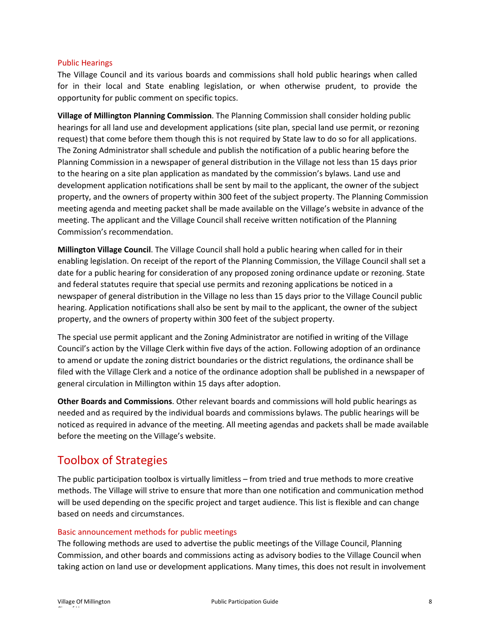#### <span id="page-9-0"></span>Public Hearings

The Village Council and its various boards and commissions shall hold public hearings when called for in their local and State enabling legislation, or when otherwise prudent, to provide the opportunity for public comment on specific topics.

**Village of Millington Planning Commission**. The Planning Commission shall consider holding public hearings for all land use and development applications (site plan, special land use permit, or rezoning request) that come before them though this is not required by State law to do so for all applications. The Zoning Administrator shall schedule and publish the notification of a public hearing before the Planning Commission in a newspaper of general distribution in the Village not less than 15 days prior to the hearing on a site plan application as mandated by the commission's bylaws. Land use and development application notifications shall be sent by mail to the applicant, the owner of the subject property, and the owners of property within 300 feet of the subject property. The Planning Commission meeting agenda and meeting packet shall be made available on the Village's website in advance of the meeting. The applicant and the Village Council shall receive written notification of the Planning Commission's recommendation.

**Millington Village Council**. The Village Council shall hold a public hearing when called for in their enabling legislation. On receipt of the report of the Planning Commission, the Village Council shall set a date for a public hearing for consideration of any proposed zoning ordinance update or rezoning. State and federal statutes require that special use permits and rezoning applications be noticed in a newspaper of general distribution in the Village no less than 15 days prior to the Village Council public hearing. Application notifications shall also be sent by mail to the applicant, the owner of the subject property, and the owners of property within 300 feet of the subject property.

The special use permit applicant and the Zoning Administrator are notified in writing of the Village Council's action by the Village Clerk within five days of the action. Following adoption of an ordinance to amend or update the zoning district boundaries or the district regulations, the ordinance shall be filed with the Village Clerk and a notice of the ordinance adoption shall be published in a newspaper of general circulation in Millington within 15 days after adoption.

**Other Boards and Commissions**. Other relevant boards and commissions will hold public hearings as needed and as required by the individual boards and commissions bylaws. The public hearings will be noticed as required in advance of the meeting. All meeting agendas and packets shall be made available before the meeting on the Village's website.

### <span id="page-9-1"></span>Toolbox of Strategies

The public participation toolbox is virtually limitless – from tried and true methods to more creative methods. The Village will strive to ensure that more than one notification and communication method will be used depending on the specific project and target audience. This list is flexible and can change based on needs and circumstances.

### <span id="page-9-2"></span>Basic announcement methods for public meetings

The following methods are used to advertise the public meetings of the Village Council, Planning Commission, and other boards and commissions acting as advisory bodies to the Village Council when taking action on land use or development applications. Many times, this does not result in involvement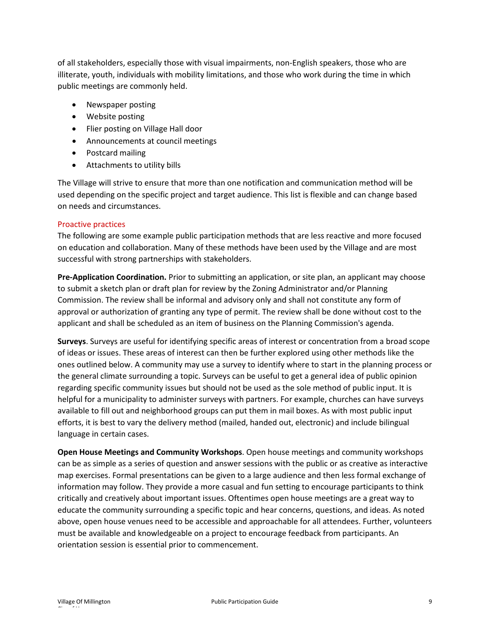of all stakeholders, especially those with visual impairments, non-English speakers, those who are illiterate, youth, individuals with mobility limitations, and those who work during the time in which public meetings are commonly held.

- Newspaper posting
- Website posting
- Flier posting on Village Hall door
- Announcements at council meetings
- Postcard mailing
- Attachments to utility bills

The Village will strive to ensure that more than one notification and communication method will be used depending on the specific project and target audience. This list is flexible and can change based on needs and circumstances.

### <span id="page-10-0"></span>Proactive practices

The following are some example public participation methods that are less reactive and more focused on education and collaboration. Many of these methods have been used by the Village and are most successful with strong partnerships with stakeholders.

**Pre-Application Coordination.** Prior to submitting an application, or site plan, an applicant may choose to submit a sketch plan or draft plan for review by the Zoning Administrator and/or Planning Commission. The review shall be informal and advisory only and shall not constitute any form of approval or authorization of granting any type of permit. The review shall be done without cost to the applicant and shall be scheduled as an item of business on the Planning Commission's agenda.

**Surveys**. Surveys are useful for identifying specific areas of interest or concentration from a broad scope of ideas or issues. These areas of interest can then be further explored using other methods like the ones outlined below. A community may use a survey to identify where to start in the planning process or the general climate surrounding a topic. Surveys can be useful to get a general idea of public opinion regarding specific community issues but should not be used as the sole method of public input. It is helpful for a municipality to administer surveys with partners. For example, churches can have surveys available to fill out and neighborhood groups can put them in mail boxes. As with most public input efforts, it is best to vary the delivery method (mailed, handed out, electronic) and include bilingual language in certain cases.

**Open House Meetings and Community Workshops**. Open house meetings and community workshops can be as simple as a series of question and answer sessions with the public or as creative as interactive map exercises. Formal presentations can be given to a large audience and then less formal exchange of information may follow. They provide a more casual and fun setting to encourage participants to think critically and creatively about important issues. Oftentimes open house meetings are a great way to educate the community surrounding a specific topic and hear concerns, questions, and ideas. As noted above, open house venues need to be accessible and approachable for all attendees. Further, volunteers must be available and knowledgeable on a project to encourage feedback from participants. An orientation session is essential prior to commencement.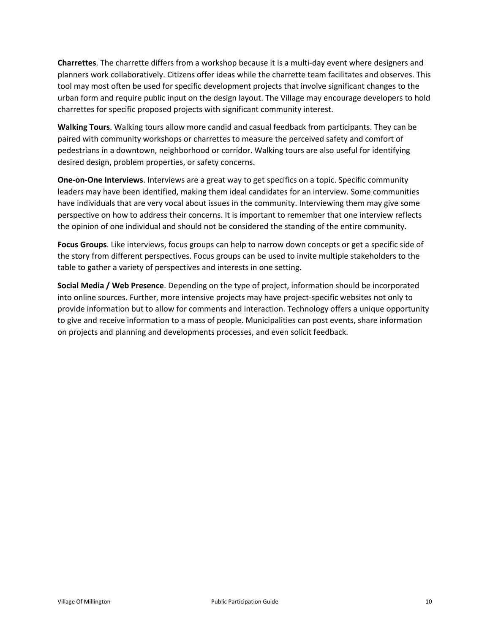**Charrettes**. The charrette differs from a workshop because it is a multi-day event where designers and planners work collaboratively. Citizens offer ideas while the charrette team facilitates and observes. This tool may most often be used for specific development projects that involve significant changes to the urban form and require public input on the design layout. The Village may encourage developers to hold charrettes for specific proposed projects with significant community interest.

**Walking Tours**. Walking tours allow more candid and casual feedback from participants. They can be paired with community workshops or charrettes to measure the perceived safety and comfort of pedestrians in a downtown, neighborhood or corridor. Walking tours are also useful for identifying desired design, problem properties, or safety concerns.

**One-on-One Interviews**. Interviews are a great way to get specifics on a topic. Specific community leaders may have been identified, making them ideal candidates for an interview. Some communities have individuals that are very vocal about issues in the community. Interviewing them may give some perspective on how to address their concerns. It is important to remember that one interview reflects the opinion of one individual and should not be considered the standing of the entire community.

**Focus Groups**. Like interviews, focus groups can help to narrow down concepts or get a specific side of the story from different perspectives. Focus groups can be used to invite multiple stakeholders to the table to gather a variety of perspectives and interests in one setting.

**Social Media / Web Presence**. Depending on the type of project, information should be incorporated into online sources. Further, more intensive projects may have project-specific websites not only to provide information but to allow for comments and interaction. Technology offers a unique opportunity to give and receive information to a mass of people. Municipalities can post events, share information on projects and planning and developments processes, and even solicit feedback.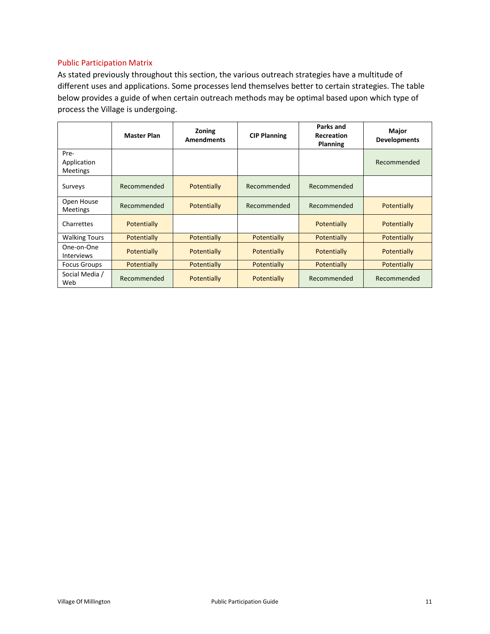### <span id="page-12-0"></span>Public Participation Matrix

As stated previously throughout this section, the various outreach strategies have a multitude of different uses and applications. Some processes lend themselves better to certain strategies. The table below provides a guide of when certain outreach methods may be optimal based upon which type of process the Village is undergoing.

|                                        | <b>Master Plan</b> | Zoning<br><b>Amendments</b> | <b>CIP Planning</b> | Parks and<br><b>Recreation</b><br><b>Planning</b> | Major<br><b>Developments</b> |
|----------------------------------------|--------------------|-----------------------------|---------------------|---------------------------------------------------|------------------------------|
| Pre-<br>Application<br><b>Meetings</b> |                    |                             |                     |                                                   | Recommended                  |
| Surveys                                | Recommended        | Potentially                 | Recommended         | Recommended                                       |                              |
| Open House<br><b>Meetings</b>          | Recommended        | Potentially                 | Recommended         | Recommended                                       | Potentially                  |
| Charrettes                             | Potentially        |                             |                     | Potentially                                       | Potentially                  |
| <b>Walking Tours</b>                   | Potentially        | Potentially                 | Potentially         | Potentially                                       | Potentially                  |
| One-on-One<br><b>Interviews</b>        | Potentially        | Potentially                 | Potentially         | Potentially                                       | Potentially                  |
| <b>Focus Groups</b>                    | Potentially        | Potentially                 | Potentially         | Potentially                                       | Potentially                  |
| Social Media /<br>Web                  | Recommended        | Potentially                 | Potentially         | Recommended                                       | Recommended                  |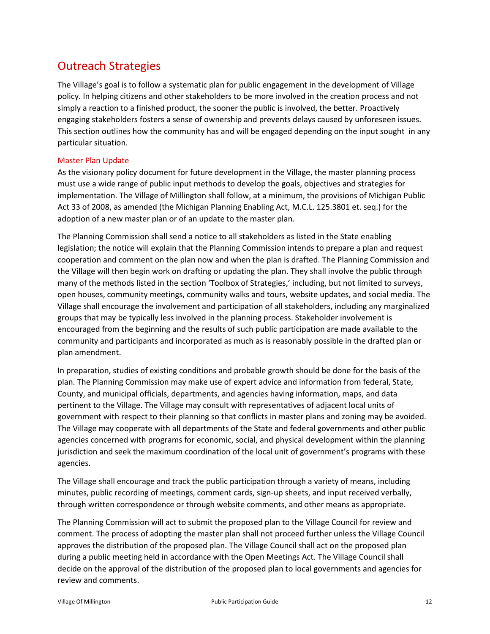# <span id="page-13-0"></span>Outreach Strategies

The Village's goal is to follow a systematic plan for public engagement in the development of Village policy. In helping citizens and other stakeholders to be more involved in the creation process and not simply a reaction to a finished product, the sooner the public is involved, the better. Proactively engaging stakeholders fosters a sense of ownership and prevents delays caused by unforeseen issues. This section outlines how the community has and will be engaged depending on the input sought in any particular situation.

### <span id="page-13-1"></span>Master Plan Update

As the visionary policy document for future development in the Village, the master planning process must use a wide range of public input methods to develop the goals, objectives and strategies for implementation. The Village of Millington shall follow, at a minimum, the provisions of Michigan Public Act 33 of 2008, as amended (the Michigan Planning Enabling Act, M.C.L. 125.3801 et. seq.) for the adoption of a new master plan or of an update to the master plan.

The Planning Commission shall send a notice to all stakeholders as listed in the State enabling legislation; the notice will explain that the Planning Commission intends to prepare a plan and request cooperation and comment on the plan now and when the plan is drafted. The Planning Commission and the Village will then begin work on drafting or updating the plan. They shall involve the public through many of the methods listed in the section 'Toolbox of Strategies,' including, but not limited to surveys, open houses, community meetings, community walks and tours, website updates, and social media. The Village shall encourage the involvement and participation of all stakeholders, including any marginalized groups that may be typically less involved in the planning process. Stakeholder involvement is encouraged from the beginning and the results of such public participation are made available to the community and participants and incorporated as much as is reasonably possible in the drafted plan or plan amendment.

In preparation, studies of existing conditions and probable growth should be done for the basis of the plan. The Planning Commission may make use of expert advice and information from federal, State, County, and municipal officials, departments, and agencies having information, maps, and data pertinent to the Village. The Village may consult with representatives of adjacent local units of government with respect to their planning so that conflicts in master plans and zoning may be avoided. The Village may cooperate with all departments of the State and federal governments and other public agencies concerned with programs for economic, social, and physical development within the planning jurisdiction and seek the maximum coordination of the local unit of government's programs with these agencies.

The Village shall encourage and track the public participation through a variety of means, including minutes, public recording of meetings, comment cards, sign-up sheets, and input received verbally, through written correspondence or through website comments, and other means as appropriate.

The Planning Commission will act to submit the proposed plan to the Village Council for review and comment. The process of adopting the master plan shall not proceed further unless the Village Council approves the distribution of the proposed plan. The Village Council shall act on the proposed plan during a public meeting held in accordance with the Open Meetings Act. The Village Council shall decide on the approval of the distribution of the proposed plan to local governments and agencies for review and comments.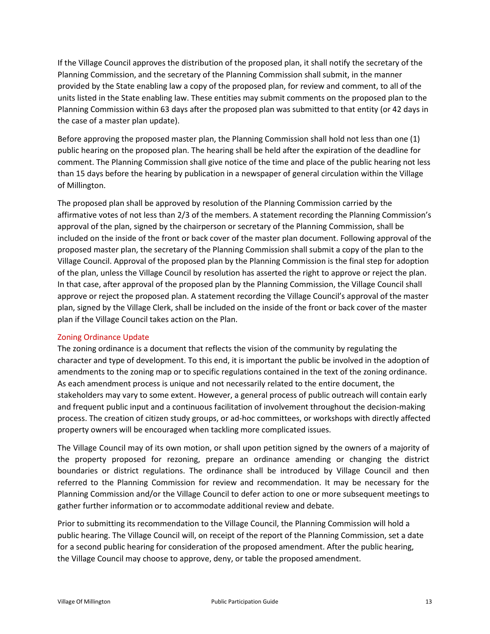If the Village Council approves the distribution of the proposed plan, it shall notify the secretary of the Planning Commission, and the secretary of the Planning Commission shall submit, in the manner provided by the State enabling law a copy of the proposed plan, for review and comment, to all of the units listed in the State enabling law. These entities may submit comments on the proposed plan to the Planning Commission within 63 days after the proposed plan was submitted to that entity (or 42 days in the case of a master plan update).

Before approving the proposed master plan, the Planning Commission shall hold not less than one (1) public hearing on the proposed plan. The hearing shall be held after the expiration of the deadline for comment. The Planning Commission shall give notice of the time and place of the public hearing not less than 15 days before the hearing by publication in a newspaper of general circulation within the Village of Millington.

The proposed plan shall be approved by resolution of the Planning Commission carried by the affirmative votes of not less than 2/3 of the members. A statement recording the Planning Commission's approval of the plan, signed by the chairperson or secretary of the Planning Commission, shall be included on the inside of the front or back cover of the master plan document. Following approval of the proposed master plan, the secretary of the Planning Commission shall submit a copy of the plan to the Village Council. Approval of the proposed plan by the Planning Commission is the final step for adoption of the plan, unless the Village Council by resolution has asserted the right to approve or reject the plan. In that case, after approval of the proposed plan by the Planning Commission, the Village Council shall approve or reject the proposed plan. A statement recording the Village Council's approval of the master plan, signed by the Village Clerk, shall be included on the inside of the front or back cover of the master plan if the Village Council takes action on the Plan.

### <span id="page-14-0"></span>Zoning Ordinance Update

The zoning ordinance is a document that reflects the vision of the community by regulating the character and type of development. To this end, it is important the public be involved in the adoption of amendments to the zoning map or to specific regulations contained in the text of the zoning ordinance. As each amendment process is unique and not necessarily related to the entire document, the stakeholders may vary to some extent. However, a general process of public outreach will contain early and frequent public input and a continuous facilitation of involvement throughout the decision-making process. The creation of citizen study groups, or ad-hoc committees, or workshops with directly affected property owners will be encouraged when tackling more complicated issues.

The Village Council may of its own motion, or shall upon petition signed by the owners of a majority of the property proposed for rezoning, prepare an ordinance amending or changing the district boundaries or district regulations. The ordinance shall be introduced by Village Council and then referred to the Planning Commission for review and recommendation. It may be necessary for the Planning Commission and/or the Village Council to defer action to one or more subsequent meetings to gather further information or to accommodate additional review and debate.

Prior to submitting its recommendation to the Village Council, the Planning Commission will hold a public hearing. The Village Council will, on receipt of the report of the Planning Commission, set a date for a second public hearing for consideration of the proposed amendment. After the public hearing, the Village Council may choose to approve, deny, or table the proposed amendment.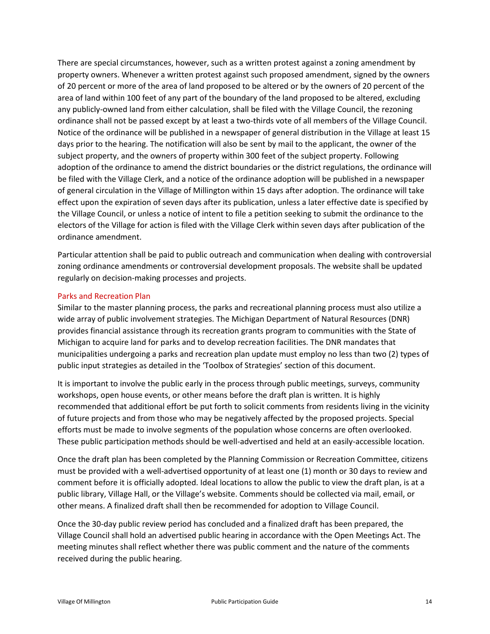There are special circumstances, however, such as a written protest against a zoning amendment by property owners. Whenever a written protest against such proposed amendment, signed by the owners of 20 percent or more of the area of land proposed to be altered or by the owners of 20 percent of the area of land within 100 feet of any part of the boundary of the land proposed to be altered, excluding any publicly-owned land from either calculation, shall be filed with the Village Council, the rezoning ordinance shall not be passed except by at least a two-thirds vote of all members of the Village Council. Notice of the ordinance will be published in a newspaper of general distribution in the Village at least 15 days prior to the hearing. The notification will also be sent by mail to the applicant, the owner of the subject property, and the owners of property within 300 feet of the subject property. Following adoption of the ordinance to amend the district boundaries or the district regulations, the ordinance will be filed with the Village Clerk, and a notice of the ordinance adoption will be published in a newspaper of general circulation in the Village of Millington within 15 days after adoption. The ordinance will take effect upon the expiration of seven days after its publication, unless a later effective date is specified by the Village Council, or unless a notice of intent to file a petition seeking to submit the ordinance to the electors of the Village for action is filed with the Village Clerk within seven days after publication of the ordinance amendment.

Particular attention shall be paid to public outreach and communication when dealing with controversial zoning ordinance amendments or controversial development proposals. The website shall be updated regularly on decision-making processes and projects.

### <span id="page-15-0"></span>Parks and Recreation Plan

Similar to the master planning process, the parks and recreational planning process must also utilize a wide array of public involvement strategies. The Michigan Department of Natural Resources (DNR) provides financial assistance through its recreation grants program to communities with the State of Michigan to acquire land for parks and to develop recreation facilities. The DNR mandates that municipalities undergoing a parks and recreation plan update must employ no less than two (2) types of public input strategies as detailed in the 'Toolbox of Strategies' section of this document.

It is important to involve the public early in the process through public meetings, surveys, community workshops, open house events, or other means before the draft plan is written. It is highly recommended that additional effort be put forth to solicit comments from residents living in the vicinity of future projects and from those who may be negatively affected by the proposed projects. Special efforts must be made to involve segments of the population whose concerns are often overlooked. These public participation methods should be well-advertised and held at an easily-accessible location.

Once the draft plan has been completed by the Planning Commission or Recreation Committee, citizens must be provided with a well-advertised opportunity of at least one (1) month or 30 days to review and comment before it is officially adopted. Ideal locations to allow the public to view the draft plan, is at a public library, Village Hall, or the Village's website. Comments should be collected via mail, email, or other means. A finalized draft shall then be recommended for adoption to Village Council.

Once the 30-day public review period has concluded and a finalized draft has been prepared, the Village Council shall hold an advertised public hearing in accordance with the Open Meetings Act. The meeting minutes shall reflect whether there was public comment and the nature of the comments received during the public hearing.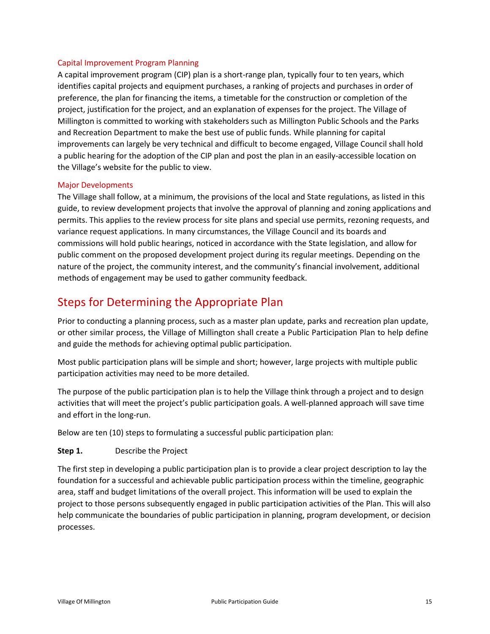### <span id="page-16-0"></span>Capital Improvement Program Planning

A capital improvement program (CIP) plan is a short-range plan, typically four to ten years, which identifies capital projects and equipment purchases, a ranking of projects and purchases in order of preference, the plan for financing the items, a timetable for the construction or completion of the project, justification for the project, and an explanation of expenses for the project. The Village of Millington is committed to working with stakeholders such as Millington Public Schools and the Parks and Recreation Department to make the best use of public funds. While planning for capital improvements can largely be very technical and difficult to become engaged, Village Council shall hold a public hearing for the adoption of the CIP plan and post the plan in an easily-accessible location on the Village's website for the public to view.

### <span id="page-16-1"></span>Major Developments

The Village shall follow, at a minimum, the provisions of the local and State regulations, as listed in this guide, to review development projects that involve the approval of planning and zoning applications and permits. This applies to the review process for site plans and special use permits, rezoning requests, and variance request applications. In many circumstances, the Village Council and its boards and commissions will hold public hearings, noticed in accordance with the State legislation, and allow for public comment on the proposed development project during its regular meetings. Depending on the nature of the project, the community interest, and the community's financial involvement, additional methods of engagement may be used to gather community feedback.

### <span id="page-16-2"></span>Steps for Determining the Appropriate Plan

Prior to conducting a planning process, such as a master plan update, parks and recreation plan update, or other similar process, the Village of Millington shall create a Public Participation Plan to help define and guide the methods for achieving optimal public participation.

Most public participation plans will be simple and short; however, large projects with multiple public participation activities may need to be more detailed.

The purpose of the public participation plan is to help the Village think through a project and to design activities that will meet the project's public participation goals. A well-planned approach will save time and effort in the long-run.

Below are ten (10) steps to formulating a successful public participation plan:

### **Step 1.** Describe the Project

The first step in developing a public participation plan is to provide a clear project description to lay the foundation for a successful and achievable public participation process within the timeline, geographic area, staff and budget limitations of the overall project. This information will be used to explain the project to those persons subsequently engaged in public participation activities of the Plan. This will also help communicate the boundaries of public participation in planning, program development, or decision processes.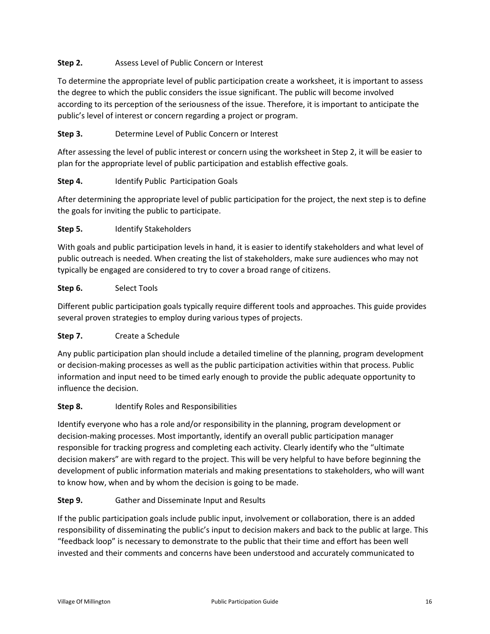### **Step 2.** Assess Level of Public Concern or Interest

To determine the appropriate level of public participation create a worksheet, it is important to assess the degree to which the public considers the issue significant. The public will become involved according to its perception of the seriousness of the issue. Therefore, it is important to anticipate the public's level of interest or concern regarding a project or program.

### **Step 3.** Determine Level of Public Concern or Interest

After assessing the level of public interest or concern using the worksheet in Step 2, it will be easier to plan for the appropriate level of public participation and establish effective goals.

### **Step 4.** Identify Public Participation Goals

After determining the appropriate level of public participation for the project, the next step is to define the goals for inviting the public to participate.

### **Step 5.** Identify Stakeholders

With goals and public participation levels in hand, it is easier to identify stakeholders and what level of public outreach is needed. When creating the list of stakeholders, make sure audiences who may not typically be engaged are considered to try to cover a broad range of citizens.

### **Step 6.** Select Tools

Different public participation goals typically require different tools and approaches. This guide provides several proven strategies to employ during various types of projects.

### **Step 7.** Create a Schedule

Any public participation plan should include a detailed timeline of the planning, program development or decision-making processes as well as the public participation activities within that process. Public information and input need to be timed early enough to provide the public adequate opportunity to influence the decision.

### **Step 8.** Identify Roles and Responsibilities

Identify everyone who has a role and/or responsibility in the planning, program development or decision-making processes. Most importantly, identify an overall public participation manager responsible for tracking progress and completing each activity. Clearly identify who the "ultimate decision makers" are with regard to the project. This will be very helpful to have before beginning the development of public information materials and making presentations to stakeholders, who will want to know how, when and by whom the decision is going to be made.

### **Step 9.** Gather and Disseminate Input and Results

If the public participation goals include public input, involvement or collaboration, there is an added responsibility of disseminating the public's input to decision makers and back to the public at large. This "feedback loop" is necessary to demonstrate to the public that their time and effort has been well invested and their comments and concerns have been understood and accurately communicated to